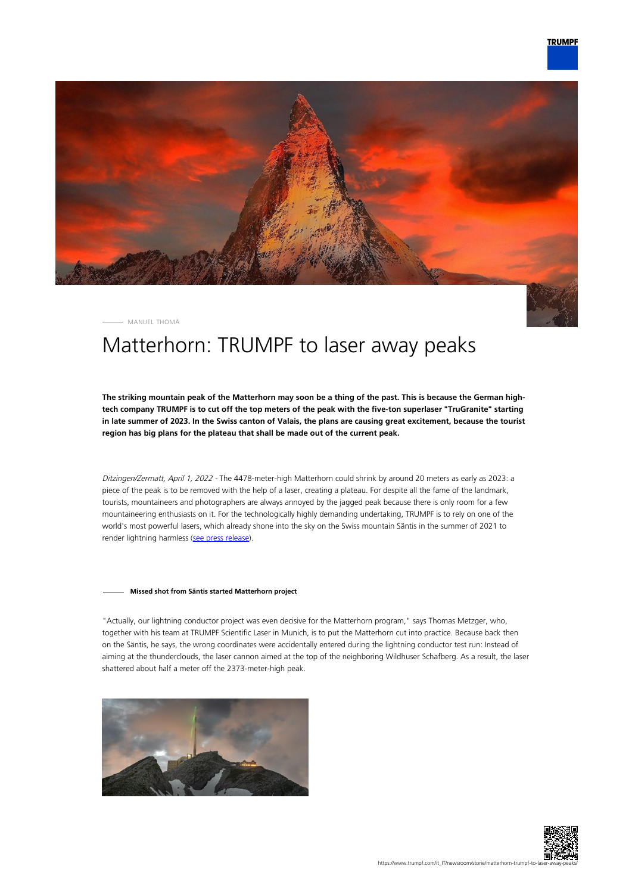

MANUEL THOMÄ

# Matterhorn: TRUMPF to laser away peaks

**The striking mountain peak of the Matterhorn may soon be a thing of the past. This is because the German hightech company TRUMPF is to cut off the top meters of the peak with the five-ton superlaser "TruGranite" starting in late summer of 2023. In the Swiss canton of Valais, the plans are causing great excitement, because the tourist region has big plans for the plateau that shall be made out of the current peak.**

Ditzingen/Zermatt, April 1, 2022 - The 4478-meter-high Matterhorn could shrink by around 20 meters as early as 2023: a piece of the peak is to be removed with the help of a laser, creating a plateau. For despite all the fame of the landmark, tourists, mountaineers and photographers are always annoyed by the jagged peak because there is only room for a few mountaineering enthusiasts on it. For the technologically highly demanding undertaking, TRUMPF is to rely on one of the world's most powerful lasers, which already shone into the sky on the Swiss mountain Säntis in the summer of 2021 to render lightning harmless ([see press release\)](https://www.trumpf.com/en_INT/newsroom/global-press-releases/press-release-detail-page/Press/a-super-laser-on-saentis-mountain-trumpf-fires-up-laser-lightning-rod-in-swiss-alps/).

#### **Missed shot from Säntis started Matterhorn project**

"Actually, our lightning conductor project was even decisive for the Matterhorn program," says Thomas Metzger, who, together with his team at TRUMPF Scientific Laser in Munich, is to put the Matterhorn cut into practice. Because back then on the Säntis, he says, the wrong coordinates were accidentally entered during the lightning conductor test run: Instead of aiming at the thunderclouds, the laser cannon aimed at the top of the neighboring Wildhuser Schafberg. As a result, the laser shattered about half a meter off the 2373-meter-high peak.



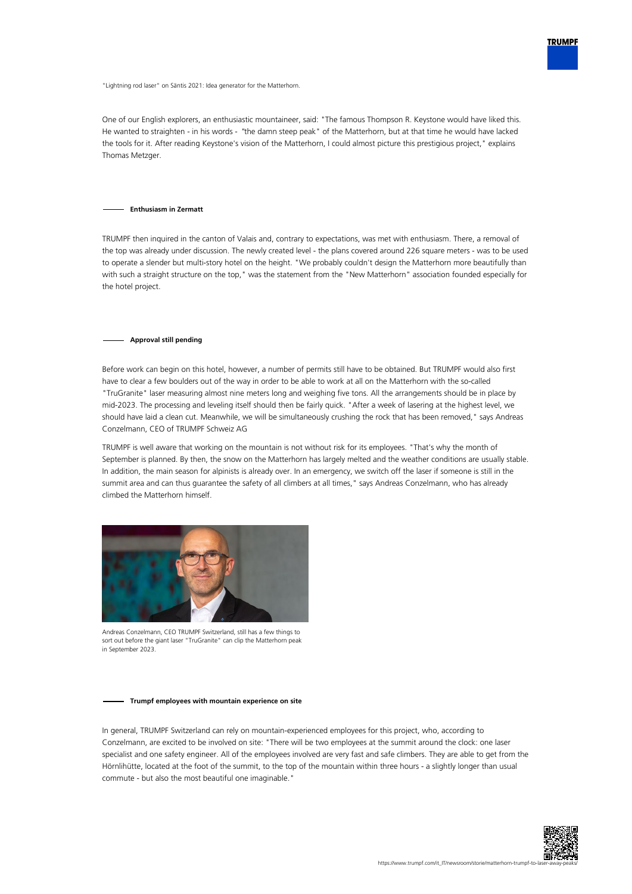

"Lightning rod laser" on Säntis 2021: Idea generator for the Matterhorn.

One of our English explorers, an enthusiastic mountaineer, said: "The famous Thompson R. Keystone would have liked this. He wanted to straighten - in his words - "the damn steep peak" of the Matterhorn, but at that time he would have lacked the tools for it. After reading Keystone's vision of the Matterhorn, I could almost picture this prestigious project," explains Thomas Metzger.

#### **Enthusiasm in Zermatt**

TRUMPF then inquired in the canton of Valais and, contrary to expectations, was met with enthusiasm. There, a removal of the top was already under discussion. The newly created level - the plans covered around 226 square meters - was to be used to operate a slender but multi-story hotel on the height. "We probably couldn't design the Matterhorn more beautifully than with such a straight structure on the top," was the statement from the "New Matterhorn" association founded especially for the hotel project.

#### **Approval still pending**

Before work can begin on this hotel, however, a number of permits still have to be obtained. But TRUMPF would also first have to clear a few boulders out of the way in order to be able to work at all on the Matterhorn with the so-called "TruGranite" laser measuring almost nine meters long and weighing five tons. All the arrangements should be in place by mid-2023. The processing and leveling itself should then be fairly quick. "After a week of lasering at the highest level, we should have laid a clean cut. Meanwhile, we will be simultaneously crushing the rock that has been removed," says Andreas Conzelmann, CEO of TRUMPF Schweiz AG

TRUMPF is well aware that working on the mountain is not without risk for its employees. "That's why the month of September is planned. By then, the snow on the Matterhorn has largely melted and the weather conditions are usually stable. In addition, the main season for alpinists is already over. In an emergency, we switch off the laser if someone is still in the summit area and can thus guarantee the safety of all climbers at all times," says Andreas Conzelmann, who has already climbed the Matterhorn himself.



Andreas Conzelmann, CEO TRUMPF Switzerland, still has a few things to sort out before the giant laser "TruGranite" can clip the Matterhorn peak in September 2023.

#### **Trumpf employees with mountain experience on site**

In general, TRUMPF Switzerland can rely on mountain-experienced employees for this project, who, according to Conzelmann, are excited to be involved on site: "There will be two employees at the summit around the clock: one laser specialist and one safety engineer. All of the employees involved are very fast and safe climbers. They are able to get from the Hörnlihütte, located at the foot of the summit, to the top of the mountain within three hours - a slightly longer than usual commute - but also the most beautiful one imaginable."